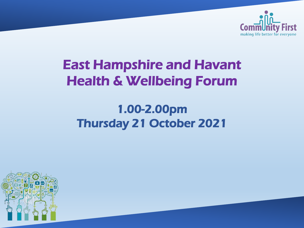

# East Hampshire and Havant Health & Wellbeing Forum

## 1.00-2.00pm Thursday 21 October 2021

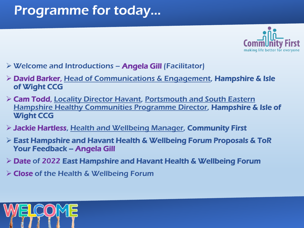# Programme for today...



- $\triangleright$  Welcome and Introductions Angela Gill (Facilitator)
- David Barker, Head of Communications & Engagement, Hampshire & Isle of Wight CCG
- Cam Todd, Locality Director Havant, Portsmouth and South Eastern Hampshire Healthy Communities Programme Director, Hampshire & Isle of Wight CCG
- Jackie Hartless, Health and Wellbeing Manager, Community First
- East Hampshire and Havant Health & Wellbeing Forum Proposals & ToR Your Feedback – Angela Gill
- Date of 2022 East Hampshire and Havant Health & Wellbeing Forum
- $\triangleright$  Close of the Health & Wellbeing Forum

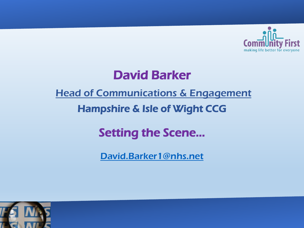

## David Barker

#### **Head of Communications & Engagement**

### Hampshire & Isle of Wight CCG

## Setting the Scene…

[David.Barker1@nhs.net](mailto:David.Barker1@nhs.net)

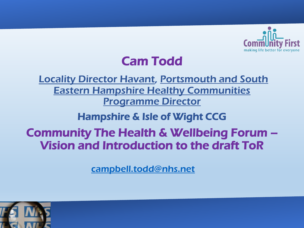

## Cam Todd

Locality Director Havant, Portsmouth and South Eastern Hampshire Healthy Communities Programme Director

Hampshire & Isle of Wight CCG

### Community The Health & Wellbeing Forum – Vision and Introduction to the draft ToR

[campbell.todd@nhs.net](mailto:campbell.todd@nhs.net)

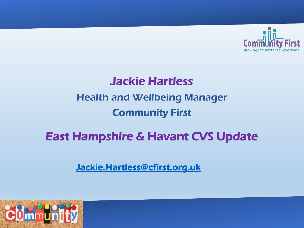

### Jackie Hartless

#### Health and Wellbeing Manager

### Community First

## East Hampshire & Havant CVS Update

#### [Jackie.Hartless@cfirst.org.uk](mailto:Jackie.Hartless@cfirst.org.uk)

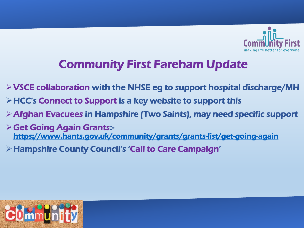

## Community First Fareham Update

- $\triangleright$  VSCE collaboration with the NHSE eg to support hospital discharge/MH
- HCC's Connect to Support is a key website to support this
- Afghan Evacuees in Hampshire (Two Saints), may need specific support
- $\triangleright$  Get Going Again Grants:<https://www.hants.gov.uk/community/grants/grants-list/get-going-again>
- Hampshire County Council's 'Call to Care Campaign'

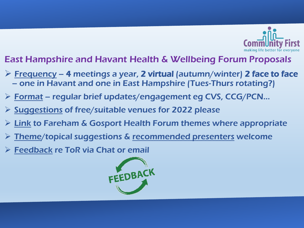

#### East Hampshire and Havant Health & Wellbeing Forum Proposals

- $\triangleright$  Frequency 4 meetings a year, 2 virtual (autumn/winter) 2 face to face – one in Havant and one in East Hampshire (Tues-Thurs rotating?)
- Format regular brief updates/engagement eg CVS, CCG/PCN…
- $\triangleright$  Suggestions of free/suitable venues for 2022 please
- $\triangleright$  Link to Fareham & Gosport Health Forum themes where appropriate
- Theme/topical suggestions & recommended presenters welcome
- Feedback re ToR via Chat or email

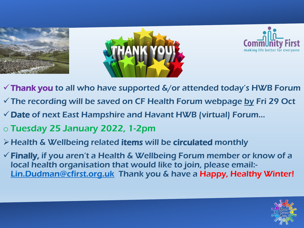





- $\checkmark$  Thank you to all who have supported  $\&/$  or attended today's HWB Forum
- $\checkmark$  The recording will be saved on CF Health Forum webpage by Fri 29 Oct
- $\checkmark$  Date of next East Hampshire and Havant HWB (virtual) Forum...
- o Tuesday 25 January 2022, 1-2pm
- Health & Wellbeing related items will be circulated monthly
- $\checkmark$  Finally, if you aren't a Health & Wellbeing Forum member or know of a local health organisation that would like to join, please email:- [Lin.Dudman@cfirst.org.uk](mailto:Lin.Dudman@cfirst.org.uk) Thank you & have a Happy, Healthy Winter!